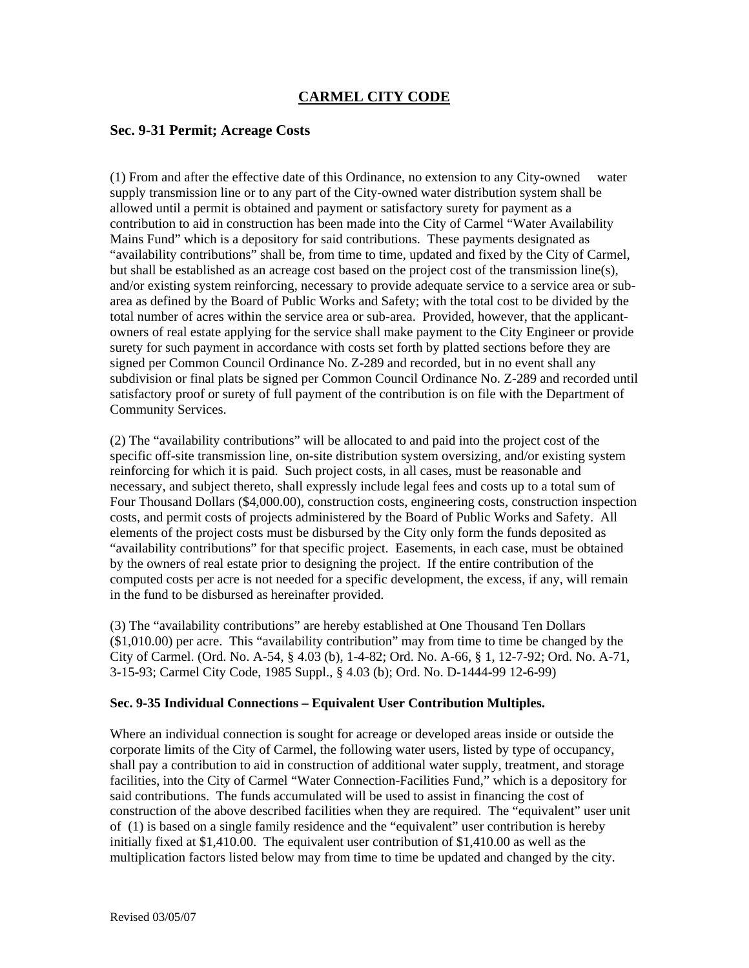# **CARMEL CITY CODE**

## **Sec. 9-31 Permit; Acreage Costs**

(1) From and after the effective date of this Ordinance, no extension to any City-owned water supply transmission line or to any part of the City-owned water distribution system shall be allowed until a permit is obtained and payment or satisfactory surety for payment as a contribution to aid in construction has been made into the City of Carmel "Water Availability Mains Fund" which is a depository for said contributions. These payments designated as "availability contributions" shall be, from time to time, updated and fixed by the City of Carmel, but shall be established as an acreage cost based on the project cost of the transmission line(s), and/or existing system reinforcing, necessary to provide adequate service to a service area or subarea as defined by the Board of Public Works and Safety; with the total cost to be divided by the total number of acres within the service area or sub-area. Provided, however, that the applicantowners of real estate applying for the service shall make payment to the City Engineer or provide surety for such payment in accordance with costs set forth by platted sections before they are signed per Common Council Ordinance No. Z-289 and recorded, but in no event shall any subdivision or final plats be signed per Common Council Ordinance No. Z-289 and recorded until satisfactory proof or surety of full payment of the contribution is on file with the Department of Community Services.

(2) The "availability contributions" will be allocated to and paid into the project cost of the specific off-site transmission line, on-site distribution system oversizing, and/or existing system reinforcing for which it is paid. Such project costs, in all cases, must be reasonable and necessary, and subject thereto, shall expressly include legal fees and costs up to a total sum of Four Thousand Dollars (\$4,000.00), construction costs, engineering costs, construction inspection costs, and permit costs of projects administered by the Board of Public Works and Safety. All elements of the project costs must be disbursed by the City only form the funds deposited as "availability contributions" for that specific project. Easements, in each case, must be obtained by the owners of real estate prior to designing the project. If the entire contribution of the computed costs per acre is not needed for a specific development, the excess, if any, will remain in the fund to be disbursed as hereinafter provided.

(3) The "availability contributions" are hereby established at One Thousand Ten Dollars (\$1,010.00) per acre. This "availability contribution" may from time to time be changed by the City of Carmel. (Ord. No. A-54, § 4.03 (b), 1-4-82; Ord. No. A-66, § 1, 12-7-92; Ord. No. A-71, 3-15-93; Carmel City Code, 1985 Suppl., § 4.03 (b); Ord. No. D-1444-99 12-6-99)

### **Sec. 9-35 Individual Connections – Equivalent User Contribution Multiples.**

Where an individual connection is sought for acreage or developed areas inside or outside the corporate limits of the City of Carmel, the following water users, listed by type of occupancy, shall pay a contribution to aid in construction of additional water supply, treatment, and storage facilities, into the City of Carmel "Water Connection-Facilities Fund," which is a depository for said contributions. The funds accumulated will be used to assist in financing the cost of construction of the above described facilities when they are required. The "equivalent" user unit of (1) is based on a single family residence and the "equivalent" user contribution is hereby initially fixed at \$1,410.00. The equivalent user contribution of \$1,410.00 as well as the multiplication factors listed below may from time to time be updated and changed by the city.